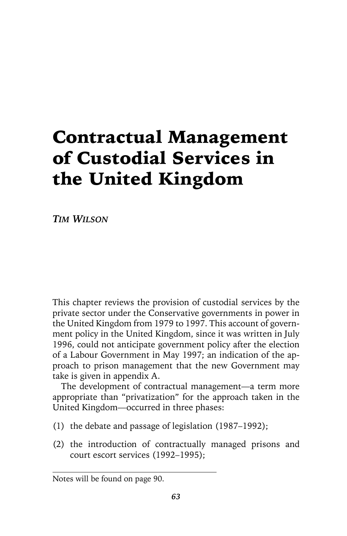# Contractual Management of Custodial Services in the United Kingdom

*TIM WILSON*

This chapter reviews the provision of custodial services by the private sector under the Conservative governments in power in the United Kingdom from 1979 to 1997. This account of government policy in the United Kingdom, since it was written in July 1996, could not anticipate government policy after the election of a Labour Government in May 1997; an indication of the approach to prison management that the new Government may take is given in appendix A.

The development of contractual management—a term more appropriate than "privatization" for the approach taken in the United Kingdom—occurred in three phases:

- (1) the debate and passage of legislation (1987–1992);
- (2) the introduction of contractually managed prisons and court escort services (1992–1995);

Notes will be found on page 90.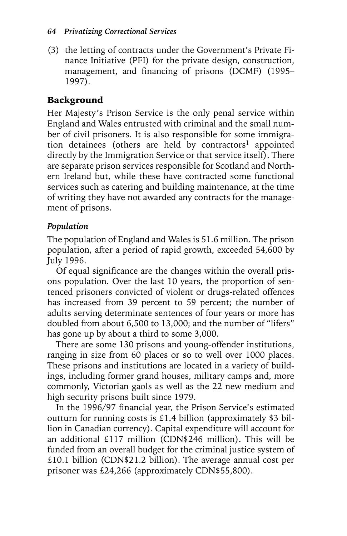(3) the letting of contracts under the Government's Private Finance Initiative (PFI) for the private design, construction, management, and financing of prisons (DCMF) (1995– 1997).

## Background

Her Majesty's Prison Service is the only penal service within England and Wales entrusted with criminal and the small number of civil prisoners. It is also responsible for some immigration detainees (others are held by contractors<sup>1</sup> appointed directly by the Immigration Service or that service itself). There are separate prison services responsible for Scotland and Northern Ireland but, while these have contracted some functional services such as catering and building maintenance, at the time of writing they have not awarded any contracts for the management of prisons.

## *Population*

The population of England and Wales is 51.6 million. The prison population, after a period of rapid growth, exceeded 54,600 by July 1996.

Of equal significance are the changes within the overall prisons population. Over the last 10 years, the proportion of sentenced prisoners convicted of violent or drugs-related offences has increased from 39 percent to 59 percent; the number of adults serving determinate sentences of four years or more has doubled from about 6,500 to 13,000; and the number of "lifers" has gone up by about a third to some 3,000.

There are some 130 prisons and young-offender institutions, ranging in size from 60 places or so to well over 1000 places. These prisons and institutions are located in a variety of buildings, including former grand houses, military camps and, more commonly, Victorian gaols as well as the 22 new medium and high security prisons built since 1979.

In the 1996/97 financial year, the Prison Service's estimated outturn for running costs is £1.4 billion (approximately \$3 billion in Canadian currency). Capital expenditure will account for an additional £117 million (CDN\$246 million). This will be funded from an overall budget for the criminal justice system of £10.1 billion (CDN\$21.2 billion). The average annual cost per prisoner was £24,266 (approximately CDN\$55,800).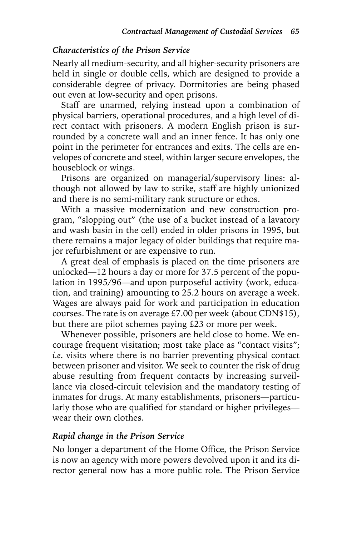#### *Characteristics of the Prison Service*

Nearly all medium-security, and all higher-security prisoners are held in single or double cells, which are designed to provide a considerable degree of privacy. Dormitories are being phased out even at low-security and open prisons.

Staff are unarmed, relying instead upon a combination of physical barriers, operational procedures, and a high level of direct contact with prisoners. A modern English prison is surrounded by a concrete wall and an inner fence. It has only one point in the perimeter for entrances and exits. The cells are envelopes of concrete and steel, within larger secure envelopes, the houseblock or wings.

Prisons are organized on managerial/supervisory lines: although not allowed by law to strike, staff are highly unionized and there is no semi-military rank structure or ethos.

With a massive modernization and new construction program, "slopping out" (the use of a bucket instead of a lavatory and wash basin in the cell) ended in older prisons in 1995, but there remains a major legacy of older buildings that require major refurbishment or are expensive to run.

A great deal of emphasis is placed on the time prisoners are unlocked—12 hours a day or more for 37.5 percent of the population in 1995/96—and upon purposeful activity (work, education, and training) amounting to 25.2 hours on average a week. Wages are always paid for work and participation in education courses. The rate is on average £7.00 per week (about CDN\$15), but there are pilot schemes paying £23 or more per week.

Whenever possible, prisoners are held close to home. We encourage frequent visitation; most take place as "contact visits"; *i.e*. visits where there is no barrier preventing physical contact between prisoner and visitor. We seek to counter the risk of drug abuse resulting from frequent contacts by increasing surveillance via closed-circuit television and the mandatory testing of inmates for drugs. At many establishments, prisoners—particularly those who are qualified for standard or higher privileges wear their own clothes.

#### *Rapid change in the Prison Service*

No longer a department of the Home Office, the Prison Service is now an agency with more powers devolved upon it and its director general now has a more public role. The Prison Service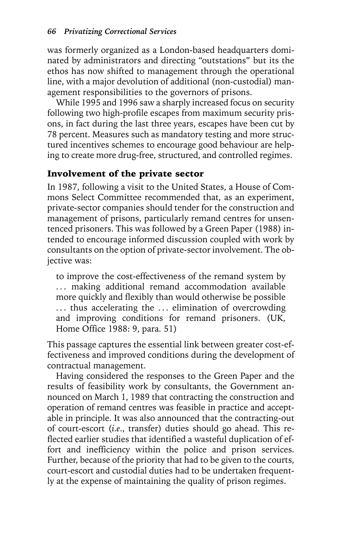was formerly organized as a London-based headquarters dominated by administrators and directing "outstations" but its the ethos has now shifted to management through the operational line, with a major devolution of additional (non-custodial) management responsibilities to the governors of prisons.

While 1995 and 1996 saw a sharply increased focus on security following two high-profile escapes from maximum security prisons, in fact during the last three years, escapes have been cut by 78 percent. Measures such as mandatory testing and more structured incentives schemes to encourage good behaviour are helping to create more drug-free, structured, and controlled regimes.

#### Involvement of the private sector

In 1987, following a visit to the United States, a House of Commons Select Committee recommended that, as an experiment, private-sector companies should tender for the construction and management of prisons, particularly remand centres for unsentenced prisoners. This was followed by a Green Paper (1988) intended to encourage informed discussion coupled with work by consultants on the option of private-sector involvement. The objective was:

to improve the cost-effectiveness of the remand system by ... making additional remand accommodation available more quickly and flexibly than would otherwise be possible ... thus accelerating the ... elimination of overcrowding and improving conditions for remand prisoners. (UK, Home Office 1988: 9, para. 51)

This passage captures the essential link between greater cost-effectiveness and improved conditions during the development of contractual management.

Having considered the responses to the Green Paper and the results of feasibility work by consultants, the Government announced on March 1, 1989 that contracting the construction and operation of remand centres was feasible in practice and acceptable in principle. It was also announced that the contracting-out of court-escort (*i.e*., transfer) duties should go ahead. This reflected earlier studies that identified a wasteful duplication of effort and inefficiency within the police and prison services. Further, because of the priority that had to be given to the courts, court-escort and custodial duties had to be undertaken frequently at the expense of maintaining the quality of prison regimes.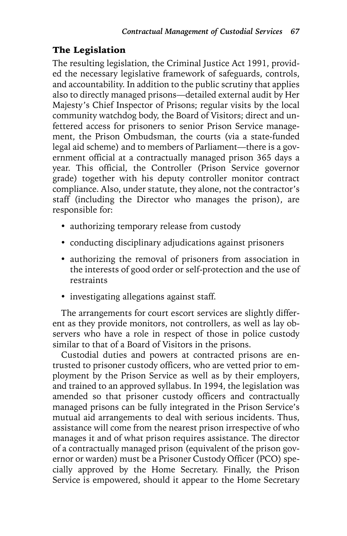# The Legislation

The resulting legislation, the Criminal Justice Act 1991, provided the necessary legislative framework of safeguards, controls, and accountability. In addition to the public scrutiny that applies also to directly managed prisons—detailed external audit by Her Majesty's Chief Inspector of Prisons; regular visits by the local community watchdog body, the Board of Visitors; direct and unfettered access for prisoners to senior Prison Service management, the Prison Ombudsman, the courts (via a state-funded legal aid scheme) and to members of Parliament—there is a government official at a contractually managed prison 365 days a year. This official, the Controller (Prison Service governor grade) together with his deputy controller monitor contract compliance. Also, under statute, they alone, not the contractor's staff (including the Director who manages the prison), are responsible for:

- authorizing temporary release from custody
- conducting disciplinary adjudications against prisoners
- authorizing the removal of prisoners from association in the interests of good order or self-protection and the use of restraints
- investigating allegations against staff.

The arrangements for court escort services are slightly different as they provide monitors, not controllers, as well as lay observers who have a role in respect of those in police custody similar to that of a Board of Visitors in the prisons.

Custodial duties and powers at contracted prisons are entrusted to prisoner custody officers, who are vetted prior to employment by the Prison Service as well as by their employers, and trained to an approved syllabus. In 1994, the legislation was amended so that prisoner custody officers and contractually managed prisons can be fully integrated in the Prison Service's mutual aid arrangements to deal with serious incidents. Thus, assistance will come from the nearest prison irrespective of who manages it and of what prison requires assistance. The director of a contractually managed prison (equivalent of the prison governor or warden) must be a Prisoner Custody Officer (PCO) specially approved by the Home Secretary. Finally, the Prison Service is empowered, should it appear to the Home Secretary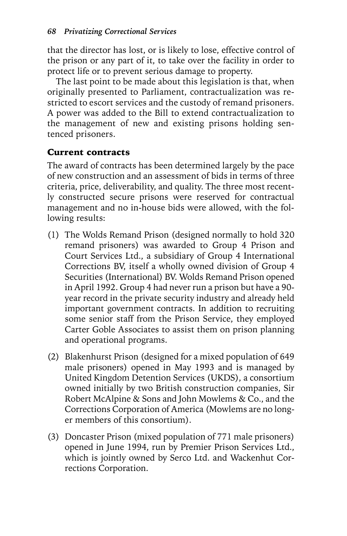that the director has lost, or is likely to lose, effective control of the prison or any part of it, to take over the facility in order to protect life or to prevent serious damage to property.

The last point to be made about this legislation is that, when originally presented to Parliament, contractualization was restricted to escort services and the custody of remand prisoners. A power was added to the Bill to extend contractualization to the management of new and existing prisons holding sentenced prisoners.

#### Current contracts

The award of contracts has been determined largely by the pace of new construction and an assessment of bids in terms of three criteria, price, deliverability, and quality. The three most recently constructed secure prisons were reserved for contractual management and no in-house bids were allowed, with the following results:

- (1) The Wolds Remand Prison (designed normally to hold 320 remand prisoners) was awarded to Group 4 Prison and Court Services Ltd., a subsidiary of Group 4 International Corrections BV, itself a wholly owned division of Group 4 Securities (International) BV. Wolds Remand Prison opened in April 1992. Group 4 had never run a prison but have a 90 year record in the private security industry and already held important government contracts. In addition to recruiting some senior staff from the Prison Service, they employed Carter Goble Associates to assist them on prison planning and operational programs.
- (2) Blakenhurst Prison (designed for a mixed population of 649 male prisoners) opened in May 1993 and is managed by United Kingdom Detention Services (UKDS), a consortium owned initially by two British construction companies, Sir Robert McAlpine & Sons and John Mowlems & Co., and the Corrections Corporation of America (Mowlems are no longer members of this consortium).
- (3) Doncaster Prison (mixed population of 771 male prisoners) opened in June 1994, run by Premier Prison Services Ltd., which is jointly owned by Serco Ltd. and Wackenhut Corrections Corporation.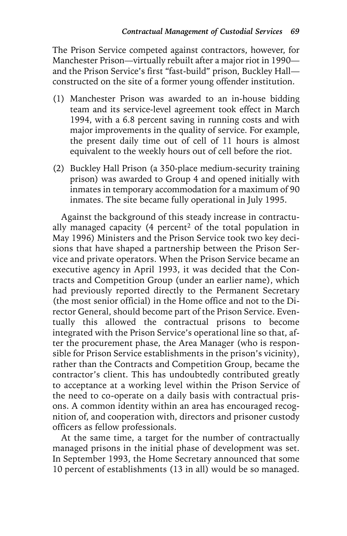The Prison Service competed against contractors, however, for Manchester Prison—virtually rebuilt after a major riot in 1990 and the Prison Service's first "fast-build" prison, Buckley Hall constructed on the site of a former young offender institution.

- (1) Manchester Prison was awarded to an in-house bidding team and its service-level agreement took effect in March 1994, with a 6.8 percent saving in running costs and with major improvements in the quality of service. For example, the present daily time out of cell of 11 hours is almost equivalent to the weekly hours out of cell before the riot.
- (2) Buckley Hall Prison (a 350-place medium-security training prison) was awarded to Group 4 and opened initially with inmates in temporary accommodation for a maximum of 90 inmates. The site became fully operational in July 1995.

Against the background of this steady increase in contractually managed capacity (4 percent<sup>2</sup> of the total population in May 1996) Ministers and the Prison Service took two key decisions that have shaped a partnership between the Prison Service and private operators. When the Prison Service became an executive agency in April 1993, it was decided that the Contracts and Competition Group (under an earlier name), which had previously reported directly to the Permanent Secretary (the most senior official) in the Home office and not to the Director General, should become part of the Prison Service. Eventually this allowed the contractual prisons to become integrated with the Prison Service's operational line so that, after the procurement phase, the Area Manager (who is responsible for Prison Service establishments in the prison's vicinity), rather than the Contracts and Competition Group, became the contractor's client. This has undoubtedly contributed greatly to acceptance at a working level within the Prison Service of the need to co-operate on a daily basis with contractual prisons. A common identity within an area has encouraged recognition of, and cooperation with, directors and prisoner custody officers as fellow professionals.

At the same time, a target for the number of contractually managed prisons in the initial phase of development was set. In September 1993, the Home Secretary announced that some 10 percent of establishments (13 in all) would be so managed.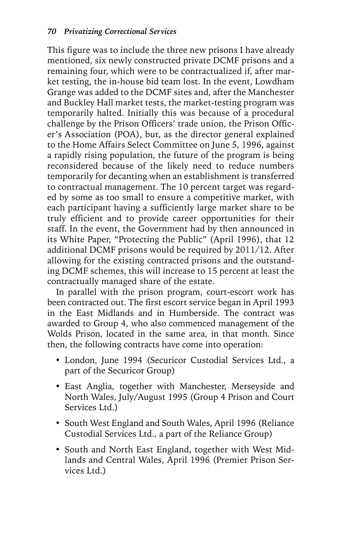This figure was to include the three new prisons I have already mentioned, six newly constructed private DCMF prisons and a remaining four, which were to be contractualized if, after market testing, the in-house bid team lost. In the event, Lowdham Grange was added to the DCMF sites and, after the Manchester and Buckley Hall market tests, the market-testing program was temporarily halted. Initially this was because of a procedural challenge by the Prison Officers' trade union, the Prison Officer's Association (POA), but, as the director general explained to the Home Affairs Select Committee on June 5, 1996, against a rapidly rising population, the future of the program is being reconsidered because of the likely need to reduce numbers temporarily for decanting when an establishment is transferred to contractual management. The 10 percent target was regarded by some as too small to ensure a competitive market, with each participant having a sufficiently large market share to be truly efficient and to provide career opportunities for their staff. In the event, the Government had by then announced in its White Paper, "Protecting the Public" (April 1996), that 12 additional DCMF prisons would be required by 2011/12. After allowing for the existing contracted prisons and the outstanding DCMF schemes, this will increase to 15 percent at least the contractually managed share of the estate.

In parallel with the prison program, court-escort work has been contracted out. The first escort service began in April 1993 in the East Midlands and in Humberside. The contract was awarded to Group 4, who also commenced management of the Wolds Prison, located in the same area, in that month. Since then, the following contracts have come into operation:

- London, June 1994 (Securicor Custodial Services Ltd., a part of the Securicor Group)
- East Anglia, together with Manchester, Merseyside and North Wales, July/August 1995 (Group 4 Prison and Court Services Ltd.)
- South West England and South Wales, April 1996 (Reliance Custodial Services Ltd., a part of the Reliance Group)
- South and North East England, together with West Midlands and Central Wales, April 1996 (Premier Prison Services Ltd.)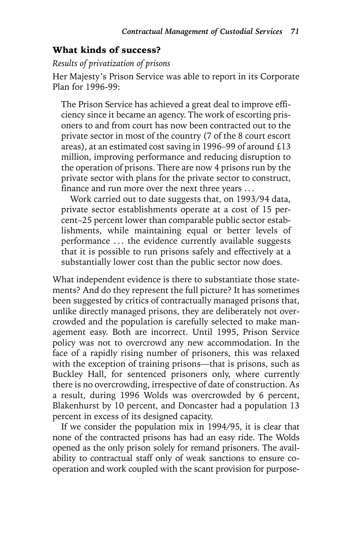#### What kinds of success?

#### *Results of privatization of prisons*

Her Majesty's Prison Service was able to report in its Corporate Plan for 1996-99:

The Prison Service has achieved a great deal to improve efficiency since it became an agency. The work of escorting prisoners to and from court has now been contracted out to the private sector in most of the country (7 of the 8 court escort areas), at an estimated cost saving in 1996–99 of around £13 million, improving performance and reducing disruption to the operation of prisons. There are now 4 prisons run by the private sector with plans for the private sector to construct, finance and run more over the next three years . . .

Work carried out to date suggests that, on 1993/94 data, private sector establishments operate at a cost of 15 percent–25 percent lower than comparable public sector establishments, while maintaining equal or better levels of performance . . . the evidence currently available suggests that it is possible to run prisons safely and effectively at a substantially lower cost than the public sector now does.

What independent evidence is there to substantiate those statements? And do they represent the full picture? It has sometimes been suggested by critics of contractually managed prisons that, unlike directly managed prisons, they are deliberately not overcrowded and the population is carefully selected to make management easy. Both are incorrect. Until 1995, Prison Service policy was not to overcrowd any new accommodation. In the face of a rapidly rising number of prisoners, this was relaxed with the exception of training prisons—that is prisons, such as Buckley Hall, for sentenced prisoners only, where currently there is no overcrowding, irrespective of date of construction. As a result, during 1996 Wolds was overcrowded by 6 percent, Blakenhurst by 10 percent, and Doncaster had a population 13 percent in excess of its designed capacity.

If we consider the population mix in 1994/95, it is clear that none of the contracted prisons has had an easy ride. The Wolds opened as the only prison solely for remand prisoners. The availability to contractual staff only of weak sanctions to ensure cooperation and work coupled with the scant provision for purpose-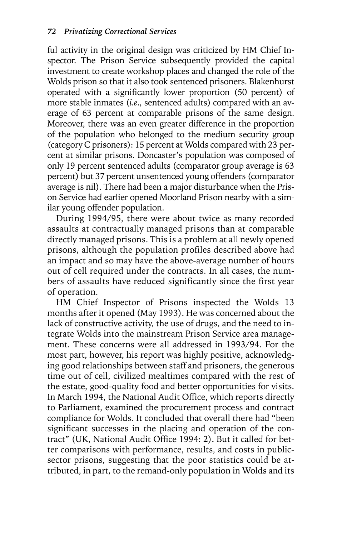ful activity in the original design was criticized by HM Chief Inspector. The Prison Service subsequently provided the capital investment to create workshop places and changed the role of the Wolds prison so that it also took sentenced prisoners. Blakenhurst operated with a significantly lower proportion (50 percent) of more stable inmates (*i.e*., sentenced adults) compared with an average of 63 percent at comparable prisons of the same design. Moreover, there was an even greater difference in the proportion of the population who belonged to the medium security group (category C prisoners): 15 percent at Wolds compared with 23 percent at similar prisons. Doncaster's population was composed of only 19 percent sentenced adults (comparator group average is 63 percent) but 37 percent unsentenced young offenders (comparator average is nil). There had been a major disturbance when the Prison Service had earlier opened Moorland Prison nearby with a similar young offender population.

During 1994/95, there were about twice as many recorded assaults at contractually managed prisons than at comparable directly managed prisons. This is a problem at all newly opened prisons, although the population profiles described above had an impact and so may have the above-average number of hours out of cell required under the contracts. In all cases, the numbers of assaults have reduced significantly since the first year of operation.

HM Chief Inspector of Prisons inspected the Wolds 13 months after it opened (May 1993). He was concerned about the lack of constructive activity, the use of drugs, and the need to integrate Wolds into the mainstream Prison Service area management. These concerns were all addressed in 1993/94. For the most part, however, his report was highly positive, acknowledging good relationships between staff and prisoners, the generous time out of cell, civilized mealtimes compared with the rest of the estate, good-quality food and better opportunities for visits. In March 1994, the National Audit Office, which reports directly to Parliament, examined the procurement process and contract compliance for Wolds. It concluded that overall there had "been significant successes in the placing and operation of the contract" (UK, National Audit Office 1994: 2). But it called for better comparisons with performance, results, and costs in publicsector prisons, suggesting that the poor statistics could be attributed, in part, to the remand-only population in Wolds and its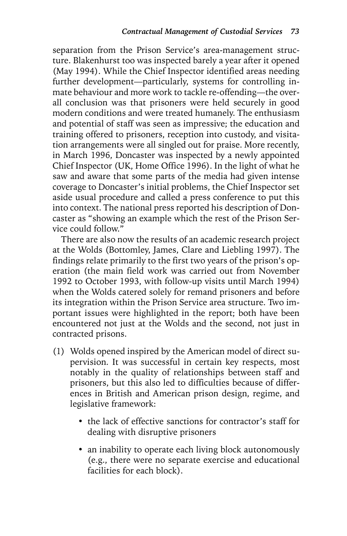separation from the Prison Service's area-management structure. Blakenhurst too was inspected barely a year after it opened (May 1994). While the Chief Inspector identified areas needing further development—particularly, systems for controlling inmate behaviour and more work to tackle re-offending—the overall conclusion was that prisoners were held securely in good modern conditions and were treated humanely. The enthusiasm and potential of staff was seen as impressive; the education and training offered to prisoners, reception into custody, and visitation arrangements were all singled out for praise. More recently, in March 1996, Doncaster was inspected by a newly appointed Chief Inspector (UK, Home Office 1996). In the light of what he saw and aware that some parts of the media had given intense coverage to Doncaster's initial problems, the Chief Inspector set aside usual procedure and called a press conference to put this into context. The national press reported his description of Doncaster as "showing an example which the rest of the Prison Service could follow."

There are also now the results of an academic research project at the Wolds (Bottomley, James, Clare and Liebling 1997). The findings relate primarily to the first two years of the prison's operation (the main field work was carried out from November 1992 to October 1993, with follow-up visits until March 1994) when the Wolds catered solely for remand prisoners and before its integration within the Prison Service area structure. Two important issues were highlighted in the report; both have been encountered not just at the Wolds and the second, not just in contracted prisons.

- (1) Wolds opened inspired by the American model of direct supervision. It was successful in certain key respects, most notably in the quality of relationships between staff and prisoners, but this also led to difficulties because of differences in British and American prison design, regime, and legislative framework:
	- the lack of effective sanctions for contractor's staff for dealing with disruptive prisoners
	- an inability to operate each living block autonomously (e.g., there were no separate exercise and educational facilities for each block).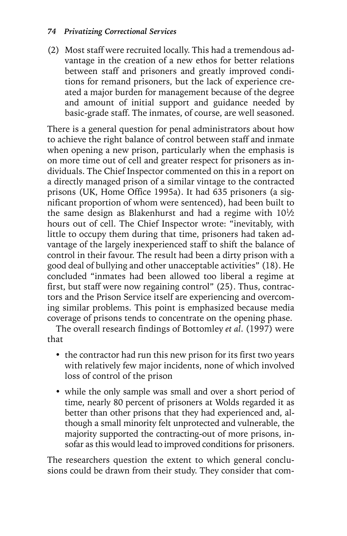#### *74 Privatizing Correctional Services*

(2) Most staff were recruited locally. This had a tremendous advantage in the creation of a new ethos for better relations between staff and prisoners and greatly improved conditions for remand prisoners, but the lack of experience created a major burden for management because of the degree and amount of initial support and guidance needed by basic-grade staff. The inmates, of course, are well seasoned.

There is a general question for penal administrators about how to achieve the right balance of control between staff and inmate when opening a new prison, particularly when the emphasis is on more time out of cell and greater respect for prisoners as individuals. The Chief Inspector commented on this in a report on a directly managed prison of a similar vintage to the contracted prisons (UK, Home Office 1995a). It had 635 prisoners (a significant proportion of whom were sentenced), had been built to the same design as Blakenhurst and had a regime with  $10\frac{1}{2}$ hours out of cell. The Chief Inspector wrote: "inevitably, with little to occupy them during that time, prisoners had taken advantage of the largely inexperienced staff to shift the balance of control in their favour. The result had been a dirty prison with a good deal of bullying and other unacceptable activities" (18). He concluded "inmates had been allowed too liberal a regime at first, but staff were now regaining control" (25). Thus, contractors and the Prison Service itself are experiencing and overcoming similar problems. This point is emphasized because media coverage of prisons tends to concentrate on the opening phase.

The overall research findings of Bottomley *et al*. (1997) were that

- the contractor had run this new prison for its first two years with relatively few major incidents, none of which involved loss of control of the prison
- while the only sample was small and over a short period of time, nearly 80 percent of prisoners at Wolds regarded it as better than other prisons that they had experienced and, although a small minority felt unprotected and vulnerable, the majority supported the contracting-out of more prisons, insofar as this would lead to improved conditions for prisoners.

The researchers question the extent to which general conclusions could be drawn from their study. They consider that com-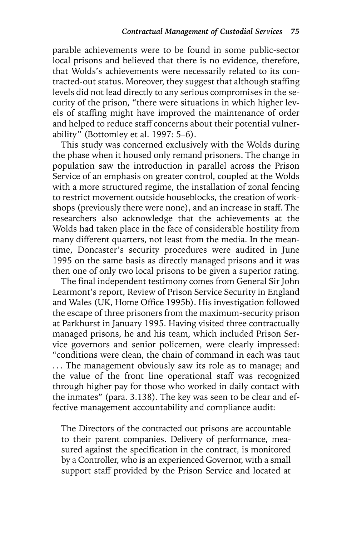parable achievements were to be found in some public-sector local prisons and believed that there is no evidence, therefore, that Wolds's achievements were necessarily related to its contracted-out status. Moreover, they suggest that although staffing levels did not lead directly to any serious compromises in the security of the prison, "there were situations in which higher levels of staffing might have improved the maintenance of order and helped to reduce staff concerns about their potential vulnerability" (Bottomley et al. 1997: 5–6).

This study was concerned exclusively with the Wolds during the phase when it housed only remand prisoners. The change in population saw the introduction in parallel across the Prison Service of an emphasis on greater control, coupled at the Wolds with a more structured regime, the installation of zonal fencing to restrict movement outside houseblocks, the creation of workshops (previously there were none), and an increase in staff. The researchers also acknowledge that the achievements at the Wolds had taken place in the face of considerable hostility from many different quarters, not least from the media. In the meantime, Doncaster's security procedures were audited in June 1995 on the same basis as directly managed prisons and it was then one of only two local prisons to be given a superior rating.

The final independent testimony comes from General Sir John Learmont's report, Review of Prison Service Security in England and Wales (UK, Home Office 1995b). His investigation followed the escape of three prisoners from the maximum-security prison at Parkhurst in January 1995. Having visited three contractually managed prisons, he and his team, which included Prison Service governors and senior policemen, were clearly impressed: "conditions were clean, the chain of command in each was taut ... The management obviously saw its role as to manage; and the value of the front line operational staff was recognized through higher pay for those who worked in daily contact with the inmates" (para. 3.138). The key was seen to be clear and effective management accountability and compliance audit:

The Directors of the contracted out prisons are accountable to their parent companies. Delivery of performance, measured against the specification in the contract, is monitored by a Controller, who is an experienced Governor, with a small support staff provided by the Prison Service and located at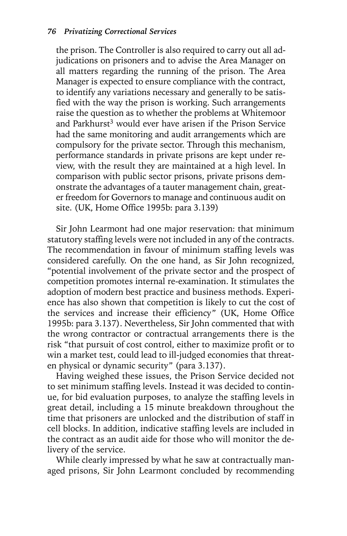the prison. The Controller is also required to carry out all adjudications on prisoners and to advise the Area Manager on all matters regarding the running of the prison. The Area Manager is expected to ensure compliance with the contract, to identify any variations necessary and generally to be satisfied with the way the prison is working. Such arrangements raise the question as to whether the problems at Whitemoor and Parkhurst<sup>3</sup> would ever have arisen if the Prison Service had the same monitoring and audit arrangements which are compulsory for the private sector. Through this mechanism, performance standards in private prisons are kept under review, with the result they are maintained at a high level. In comparison with public sector prisons, private prisons demonstrate the advantages of a tauter management chain, greater freedom for Governors to manage and continuous audit on site. (UK, Home Office 1995b: para 3.139)

Sir John Learmont had one major reservation: that minimum statutory staffing levels were not included in any of the contracts. The recommendation in favour of minimum staffing levels was considered carefully. On the one hand, as Sir John recognized, "potential involvement of the private sector and the prospect of competition promotes internal re-examination. It stimulates the adoption of modern best practice and business methods. Experience has also shown that competition is likely to cut the cost of the services and increase their efficiency" (UK, Home Office 1995b: para 3.137). Nevertheless, Sir John commented that with the wrong contractor or contractual arrangements there is the risk "that pursuit of cost control, either to maximize profit or to win a market test, could lead to ill-judged economies that threaten physical or dynamic security" (para 3.137).

Having weighed these issues, the Prison Service decided not to set minimum staffing levels. Instead it was decided to continue, for bid evaluation purposes, to analyze the staffing levels in great detail, including a 15 minute breakdown throughout the time that prisoners are unlocked and the distribution of staff in cell blocks. In addition, indicative staffing levels are included in the contract as an audit aide for those who will monitor the delivery of the service.

While clearly impressed by what he saw at contractually managed prisons, Sir John Learmont concluded by recommending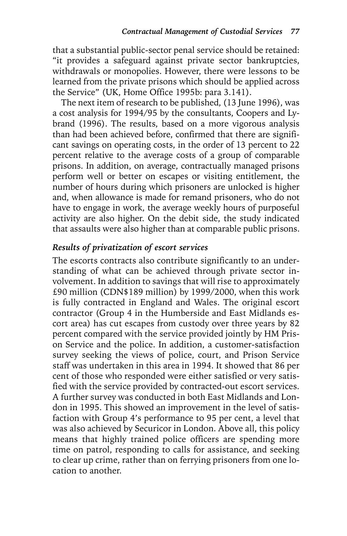that a substantial public-sector penal service should be retained: "it provides a safeguard against private sector bankruptcies, withdrawals or monopolies. However, there were lessons to be learned from the private prisons which should be applied across the Service" (UK, Home Office 1995b: para 3.141).

The next item of research to be published, (13 June 1996), was a cost analysis for 1994/95 by the consultants, Coopers and Lybrand (1996). The results, based on a more vigorous analysis than had been achieved before, confirmed that there are significant savings on operating costs, in the order of 13 percent to 22 percent relative to the average costs of a group of comparable prisons. In addition, on average, contractually managed prisons perform well or better on escapes or visiting entitlement, the number of hours during which prisoners are unlocked is higher and, when allowance is made for remand prisoners, who do not have to engage in work, the average weekly hours of purposeful activity are also higher. On the debit side, the study indicated that assaults were also higher than at comparable public prisons.

### *Results of privatization of escort services*

The escorts contracts also contribute significantly to an understanding of what can be achieved through private sector involvement. In addition to savings that will rise to approximately £90 million (CDN\$189 million) by 1999/2000, when this work is fully contracted in England and Wales. The original escort contractor (Group 4 in the Humberside and East Midlands escort area) has cut escapes from custody over three years by 82 percent compared with the service provided jointly by HM Prison Service and the police. In addition, a customer-satisfaction survey seeking the views of police, court, and Prison Service staff was undertaken in this area in 1994. It showed that 86 per cent of those who responded were either satisfied or very satisfied with the service provided by contracted-out escort services. A further survey was conducted in both East Midlands and London in 1995. This showed an improvement in the level of satisfaction with Group 4's performance to 95 per cent, a level that was also achieved by Securicor in London. Above all, this policy means that highly trained police officers are spending more time on patrol, responding to calls for assistance, and seeking to clear up crime, rather than on ferrying prisoners from one location to another.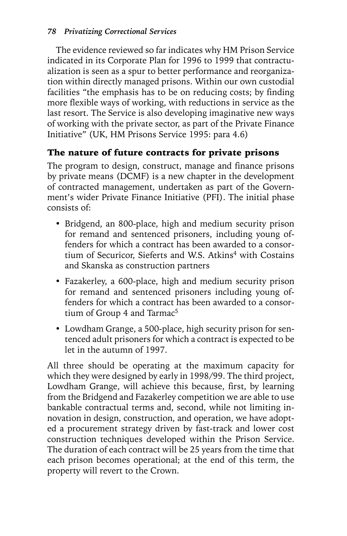The evidence reviewed so far indicates why HM Prison Service indicated in its Corporate Plan for 1996 to 1999 that contractualization is seen as a spur to better performance and reorganization within directly managed prisons. Within our own custodial facilities "the emphasis has to be on reducing costs; by finding more flexible ways of working, with reductions in service as the last resort. The Service is also developing imaginative new ways of working with the private sector, as part of the Private Finance Initiative" (UK, HM Prisons Service 1995: para 4.6)

## The nature of future contracts for private prisons

The program to design, construct, manage and finance prisons by private means (DCMF) is a new chapter in the development of contracted management, undertaken as part of the Government's wider Private Finance Initiative (PFI). The initial phase consists of:

- Bridgend, an 800-place, high and medium security prison for remand and sentenced prisoners, including young offenders for which a contract has been awarded to a consortium of Securicor, Sieferts and W.S. Atkins<sup>4</sup> with Costains and Skanska as construction partners
- Fazakerley, a 600-place, high and medium security prison for remand and sentenced prisoners including young offenders for which a contract has been awarded to a consortium of Group 4 and Tarmac<sup>5</sup>
- Lowdham Grange, a 500-place, high security prison for sentenced adult prisoners for which a contract is expected to be let in the autumn of 1997.

All three should be operating at the maximum capacity for which they were designed by early in 1998/99. The third project, Lowdham Grange, will achieve this because, first, by learning from the Bridgend and Fazakerley competition we are able to use bankable contractual terms and, second, while not limiting innovation in design, construction, and operation, we have adopted a procurement strategy driven by fast-track and lower cost construction techniques developed within the Prison Service. The duration of each contract will be 25 years from the time that each prison becomes operational; at the end of this term, the property will revert to the Crown.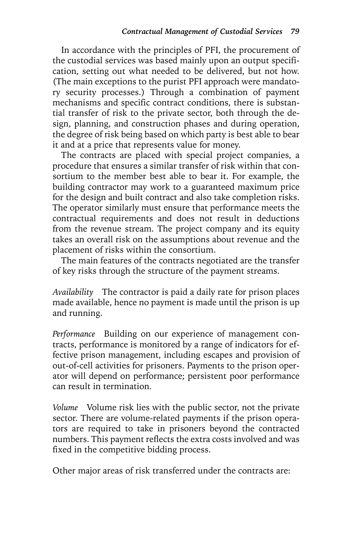In accordance with the principles of PFI, the procurement of the custodial services was based mainly upon an output specification, setting out what needed to be delivered, but not how. (The main exceptions to the purist PFI approach were mandatory security processes.) Through a combination of payment mechanisms and specific contract conditions, there is substantial transfer of risk to the private sector, both through the design, planning, and construction phases and during operation, the degree of risk being based on which party is best able to bear it and at a price that represents value for money.

The contracts are placed with special project companies, a procedure that ensures a similar transfer of risk within that consortium to the member best able to bear it. For example, the building contractor may work to a guaranteed maximum price for the design and built contract and also take completion risks. The operator similarly must ensure that performance meets the contractual requirements and does not result in deductions from the revenue stream. The project company and its equity takes an overall risk on the assumptions about revenue and the placement of risks within the consortium.

The main features of the contracts negotiated are the transfer of key risks through the structure of the payment streams.

*Availability* The contractor is paid a daily rate for prison places made available, hence no payment is made until the prison is up and running.

*Performance* Building on our experience of management contracts, performance is monitored by a range of indicators for effective prison management, including escapes and provision of out-of-cell activities for prisoners. Payments to the prison operator will depend on performance; persistent poor performance can result in termination.

*Volume* Volume risk lies with the public sector, not the private sector. There are volume-related payments if the prison operators are required to take in prisoners beyond the contracted numbers. This payment reflects the extra costs involved and was fixed in the competitive bidding process.

Other major areas of risk transferred under the contracts are: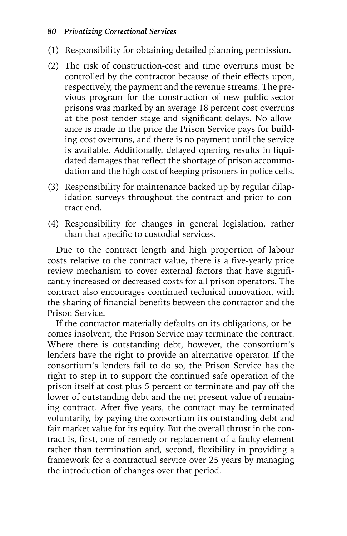#### *80 Privatizing Correctional Services*

- (1) Responsibility for obtaining detailed planning permission.
- (2) The risk of construction-cost and time overruns must be controlled by the contractor because of their effects upon, respectively, the payment and the revenue streams. The previous program for the construction of new public-sector prisons was marked by an average 18 percent cost overruns at the post-tender stage and significant delays. No allowance is made in the price the Prison Service pays for building-cost overruns, and there is no payment until the service is available. Additionally, delayed opening results in liquidated damages that reflect the shortage of prison accommodation and the high cost of keeping prisoners in police cells.
- (3) Responsibility for maintenance backed up by regular dilapidation surveys throughout the contract and prior to contract end.
- (4) Responsibility for changes in general legislation, rather than that specific to custodial services.

Due to the contract length and high proportion of labour costs relative to the contract value, there is a five-yearly price review mechanism to cover external factors that have significantly increased or decreased costs for all prison operators. The contract also encourages continued technical innovation, with the sharing of financial benefits between the contractor and the Prison Service.

If the contractor materially defaults on its obligations, or becomes insolvent, the Prison Service may terminate the contract. Where there is outstanding debt, however, the consortium's lenders have the right to provide an alternative operator. If the consortium's lenders fail to do so, the Prison Service has the right to step in to support the continued safe operation of the prison itself at cost plus 5 percent or terminate and pay off the lower of outstanding debt and the net present value of remaining contract. After five years, the contract may be terminated voluntarily, by paying the consortium its outstanding debt and fair market value for its equity. But the overall thrust in the contract is, first, one of remedy or replacement of a faulty element rather than termination and, second, flexibility in providing a framework for a contractual service over 25 years by managing the introduction of changes over that period.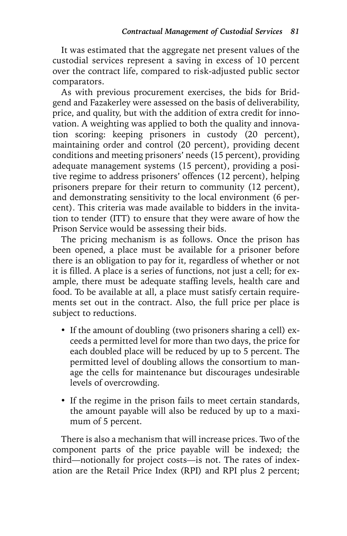It was estimated that the aggregate net present values of the custodial services represent a saving in excess of 10 percent over the contract life, compared to risk-adjusted public sector comparators.

As with previous procurement exercises, the bids for Bridgend and Fazakerley were assessed on the basis of deliverability, price, and quality, but with the addition of extra credit for innovation. A weighting was applied to both the quality and innovation scoring: keeping prisoners in custody (20 percent), maintaining order and control (20 percent), providing decent conditions and meeting prisoners' needs (15 percent), providing adequate management systems (15 percent), providing a positive regime to address prisoners' offences (12 percent), helping prisoners prepare for their return to community (12 percent), and demonstrating sensitivity to the local environment (6 percent). This criteria was made available to bidders in the invitation to tender (ITT) to ensure that they were aware of how the Prison Service would be assessing their bids.

The pricing mechanism is as follows. Once the prison has been opened, a place must be available for a prisoner before there is an obligation to pay for it, regardless of whether or not it is filled. A place is a series of functions, not just a cell; for example, there must be adequate staffing levels, health care and food. To be available at all, a place must satisfy certain requirements set out in the contract. Also, the full price per place is subject to reductions.

- If the amount of doubling (two prisoners sharing a cell) exceeds a permitted level for more than two days, the price for each doubled place will be reduced by up to 5 percent. The permitted level of doubling allows the consortium to manage the cells for maintenance but discourages undesirable levels of overcrowding.
- If the regime in the prison fails to meet certain standards, the amount payable will also be reduced by up to a maximum of 5 percent.

There is also a mechanism that will increase prices. Two of the component parts of the price payable will be indexed; the third—notionally for project costs—is not. The rates of indexation are the Retail Price Index (RPI) and RPI plus 2 percent;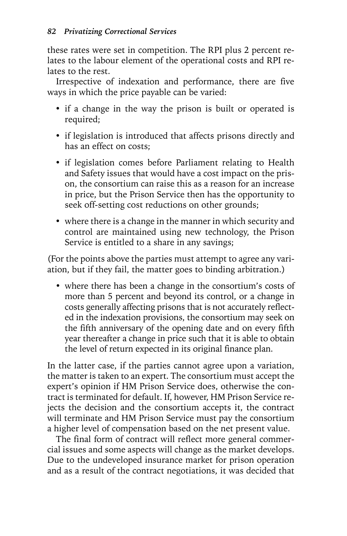these rates were set in competition. The RPI plus 2 percent relates to the labour element of the operational costs and RPI relates to the rest.

Irrespective of indexation and performance, there are five ways in which the price payable can be varied:

- if a change in the way the prison is built or operated is required;
- if legislation is introduced that affects prisons directly and has an effect on costs;
- if legislation comes before Parliament relating to Health and Safety issues that would have a cost impact on the prison, the consortium can raise this as a reason for an increase in price, but the Prison Service then has the opportunity to seek off-setting cost reductions on other grounds;
- where there is a change in the manner in which security and control are maintained using new technology, the Prison Service is entitled to a share in any savings;

(For the points above the parties must attempt to agree any variation, but if they fail, the matter goes to binding arbitration.)

• where there has been a change in the consortium's costs of more than 5 percent and beyond its control, or a change in costs generally affecting prisons that is not accurately reflected in the indexation provisions, the consortium may seek on the fifth anniversary of the opening date and on every fifth year thereafter a change in price such that it is able to obtain the level of return expected in its original finance plan.

In the latter case, if the parties cannot agree upon a variation, the matter is taken to an expert. The consortium must accept the expert's opinion if HM Prison Service does, otherwise the contract is terminated for default. If, however, HM Prison Service rejects the decision and the consortium accepts it, the contract will terminate and HM Prison Service must pay the consortium a higher level of compensation based on the net present value.

The final form of contract will reflect more general commercial issues and some aspects will change as the market develops. Due to the undeveloped insurance market for prison operation and as a result of the contract negotiations, it was decided that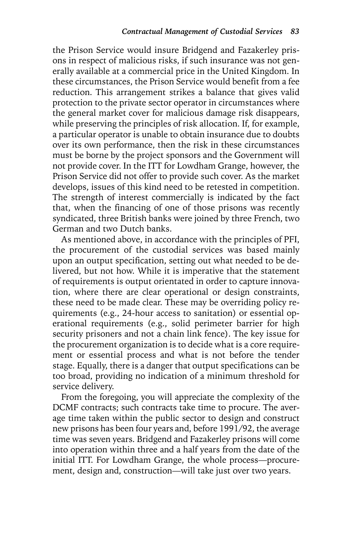the Prison Service would insure Bridgend and Fazakerley prisons in respect of malicious risks, if such insurance was not generally available at a commercial price in the United Kingdom. In these circumstances, the Prison Service would benefit from a fee reduction. This arrangement strikes a balance that gives valid protection to the private sector operator in circumstances where the general market cover for malicious damage risk disappears, while preserving the principles of risk allocation. If, for example, a particular operator is unable to obtain insurance due to doubts over its own performance, then the risk in these circumstances must be borne by the project sponsors and the Government will not provide cover. In the ITT for Lowdham Grange, however, the Prison Service did not offer to provide such cover. As the market develops, issues of this kind need to be retested in competition. The strength of interest commercially is indicated by the fact that, when the financing of one of those prisons was recently syndicated, three British banks were joined by three French, two German and two Dutch banks.

As mentioned above, in accordance with the principles of PFI, the procurement of the custodial services was based mainly upon an output specification, setting out what needed to be delivered, but not how. While it is imperative that the statement of requirements is output orientated in order to capture innovation, where there are clear operational or design constraints, these need to be made clear. These may be overriding policy requirements (e.g., 24-hour access to sanitation) or essential operational requirements (e.g., solid perimeter barrier for high security prisoners and not a chain link fence). The key issue for the procurement organization is to decide what is a core requirement or essential process and what is not before the tender stage. Equally, there is a danger that output specifications can be too broad, providing no indication of a minimum threshold for service delivery.

From the foregoing, you will appreciate the complexity of the DCMF contracts; such contracts take time to procure. The average time taken within the public sector to design and construct new prisons has been four years and, before 1991/92, the average time was seven years. Bridgend and Fazakerley prisons will come into operation within three and a half years from the date of the initial ITT. For Lowdham Grange, the whole process—procurement, design and, construction—will take just over two years.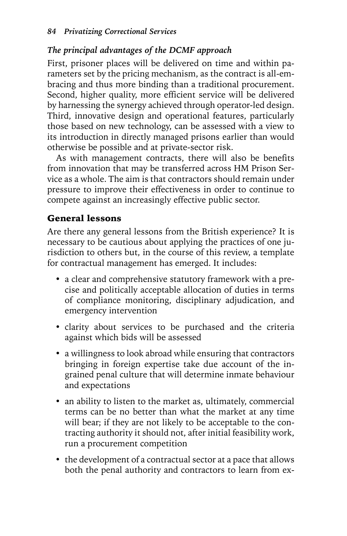#### *The principal advantages of the DCMF approach*

First, prisoner places will be delivered on time and within parameters set by the pricing mechanism, as the contract is all-embracing and thus more binding than a traditional procurement. Second, higher quality, more efficient service will be delivered by harnessing the synergy achieved through operator-led design. Third, innovative design and operational features, particularly those based on new technology, can be assessed with a view to its introduction in directly managed prisons earlier than would otherwise be possible and at private-sector risk.

As with management contracts, there will also be benefits from innovation that may be transferred across HM Prison Service as a whole. The aim is that contractors should remain under pressure to improve their effectiveness in order to continue to compete against an increasingly effective public sector.

### General lessons

Are there any general lessons from the British experience? It is necessary to be cautious about applying the practices of one jurisdiction to others but, in the course of this review, a template for contractual management has emerged. It includes:

- a clear and comprehensive statutory framework with a precise and politically acceptable allocation of duties in terms of compliance monitoring, disciplinary adjudication, and emergency intervention
- clarity about services to be purchased and the criteria against which bids will be assessed
- a willingness to look abroad while ensuring that contractors bringing in foreign expertise take due account of the ingrained penal culture that will determine inmate behaviour and expectations
- an ability to listen to the market as, ultimately, commercial terms can be no better than what the market at any time will bear; if they are not likely to be acceptable to the contracting authority it should not, after initial feasibility work, run a procurement competition
- the development of a contractual sector at a pace that allows both the penal authority and contractors to learn from ex-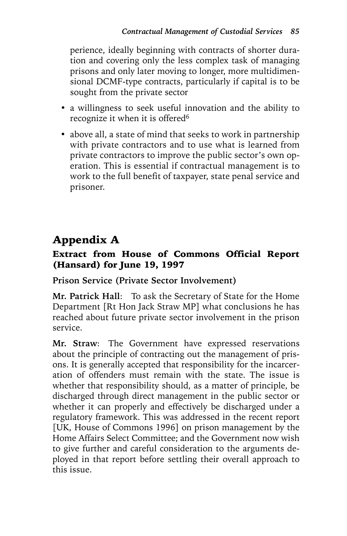perience, ideally beginning with contracts of shorter duration and covering only the less complex task of managing prisons and only later moving to longer, more multidimensional DCMF-type contracts, particularly if capital is to be sought from the private sector

- a willingness to seek useful innovation and the ability to recognize it when it is offered<sup>6</sup>
- above all, a state of mind that seeks to work in partnership with private contractors and to use what is learned from private contractors to improve the public sector's own operation. This is essential if contractual management is to work to the full benefit of taxpayer, state penal service and prisoner.

# Appendix A

## Extract from House of Commons Official Report (Hansard) for June 19, 1997

### **Prison Service (Private Sector Involvement)**

**Mr. Patrick Hall**: To ask the Secretary of State for the Home Department [Rt Hon Jack Straw MP] what conclusions he has reached about future private sector involvement in the prison service.

**Mr. Straw**: The Government have expressed reservations about the principle of contracting out the management of prisons. It is generally accepted that responsibility for the incarceration of offenders must remain with the state. The issue is whether that responsibility should, as a matter of principle, be discharged through direct management in the public sector or whether it can properly and effectively be discharged under a regulatory framework. This was addressed in the recent report [UK, House of Commons 1996] on prison management by the Home Affairs Select Committee; and the Government now wish to give further and careful consideration to the arguments deployed in that report before settling their overall approach to this issue.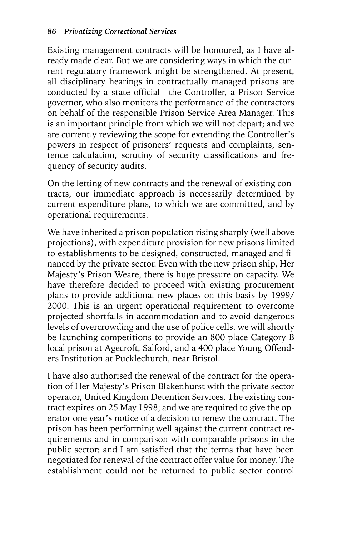Existing management contracts will be honoured, as I have already made clear. But we are considering ways in which the current regulatory framework might be strengthened. At present, all disciplinary hearings in contractually managed prisons are conducted by a state official—the Controller, a Prison Service governor, who also monitors the performance of the contractors on behalf of the responsible Prison Service Area Manager. This is an important principle from which we will not depart; and we are currently reviewing the scope for extending the Controller's powers in respect of prisoners' requests and complaints, sentence calculation, scrutiny of security classifications and frequency of security audits.

On the letting of new contracts and the renewal of existing contracts, our immediate approach is necessarily determined by current expenditure plans, to which we are committed, and by operational requirements.

We have inherited a prison population rising sharply (well above projections), with expenditure provision for new prisons limited to establishments to be designed, constructed, managed and financed by the private sector. Even with the new prison ship, Her Majesty's Prison Weare, there is huge pressure on capacity. We have therefore decided to proceed with existing procurement plans to provide additional new places on this basis by 1999/ 2000. This is an urgent operational requirement to overcome projected shortfalls in accommodation and to avoid dangerous levels of overcrowding and the use of police cells. we will shortly be launching competitions to provide an 800 place Category B local prison at Agecroft, Salford, and a 400 place Young Offenders Institution at Pucklechurch, near Bristol.

I have also authorised the renewal of the contract for the operation of Her Majesty's Prison Blakenhurst with the private sector operator, United Kingdom Detention Services. The existing contract expires on 25 May 1998; and we are required to give the operator one year's notice of a decision to renew the contract. The prison has been performing well against the current contract requirements and in comparison with comparable prisons in the public sector; and I am satisfied that the terms that have been negotiated for renewal of the contract offer value for money. The establishment could not be returned to public sector control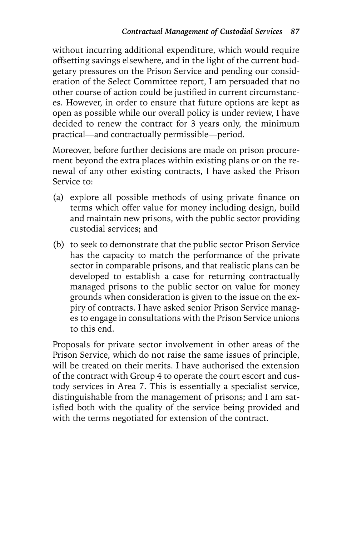without incurring additional expenditure, which would require offsetting savings elsewhere, and in the light of the current budgetary pressures on the Prison Service and pending our consideration of the Select Committee report, I am persuaded that no other course of action could be justified in current circumstances. However, in order to ensure that future options are kept as open as possible while our overall policy is under review, I have decided to renew the contract for 3 years only, the minimum practical—and contractually permissible—period.

Moreover, before further decisions are made on prison procurement beyond the extra places within existing plans or on the renewal of any other existing contracts, I have asked the Prison Service to:

- (a) explore all possible methods of using private finance on terms which offer value for money including design, build and maintain new prisons, with the public sector providing custodial services; and
- (b) to seek to demonstrate that the public sector Prison Service has the capacity to match the performance of the private sector in comparable prisons, and that realistic plans can be developed to establish a case for returning contractually managed prisons to the public sector on value for money grounds when consideration is given to the issue on the expiry of contracts. I have asked senior Prison Service manages to engage in consultations with the Prison Service unions to this end.

Proposals for private sector involvement in other areas of the Prison Service, which do not raise the same issues of principle, will be treated on their merits. I have authorised the extension of the contract with Group 4 to operate the court escort and custody services in Area 7. This is essentially a specialist service, distinguishable from the management of prisons; and I am satisfied both with the quality of the service being provided and with the terms negotiated for extension of the contract.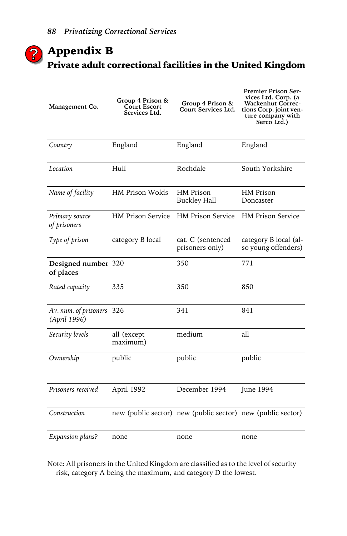

# Appendix B **?**Private adult correctional facilities in the United Kingdom

| Management Co.                            | Group 4 Prison &<br><b>Court Escort</b><br>Services Ltd. | Group 4 Prison &<br>Court Services Ltd.                     | Premier Prison Ser-<br>vices Ltd. Corp. (a<br>Wackenhut Correc-<br>tions Corp. joint ven-<br>ture company with<br>Serco Ltd.) |
|-------------------------------------------|----------------------------------------------------------|-------------------------------------------------------------|-------------------------------------------------------------------------------------------------------------------------------|
| Country                                   | England                                                  | England                                                     | England                                                                                                                       |
| Location                                  | Hull                                                     | Rochdale                                                    | South Yorkshire                                                                                                               |
| Name of facility                          | HM Prison Wolds                                          | HM Prison<br><b>Buckley Hall</b>                            | HM Prison<br>Doncaster                                                                                                        |
| Primary source<br>of prisoners            | <b>HM Prison Service</b>                                 | <b>HM Prison Service</b>                                    | <b>HM Prison Service</b>                                                                                                      |
| Type of prison                            | category B local                                         | cat. C (sentenced<br>prisoners only)                        | category B local (al-<br>so young offenders)                                                                                  |
| Designed number 320<br>of places          |                                                          | 350                                                         | 771                                                                                                                           |
| Rated capacity                            | 335                                                      | 350                                                         | 850                                                                                                                           |
| Av. num. of prisoners 326<br>(April 1996) |                                                          | 341                                                         | 841                                                                                                                           |
| Security levels                           | all (except<br>maximum)                                  | medium                                                      | all                                                                                                                           |
| Ownership                                 | public                                                   | public                                                      | public                                                                                                                        |
| Prisoners received                        | April 1992                                               | December 1994                                               | June 1994                                                                                                                     |
| Construction                              |                                                          | new (public sector) new (public sector) new (public sector) |                                                                                                                               |
| Expansion plans?                          | none                                                     | none                                                        | none                                                                                                                          |

Note: All prisoners in the United Kingdom are classified as to the level of security risk, category A being the maximum, and category D the lowest.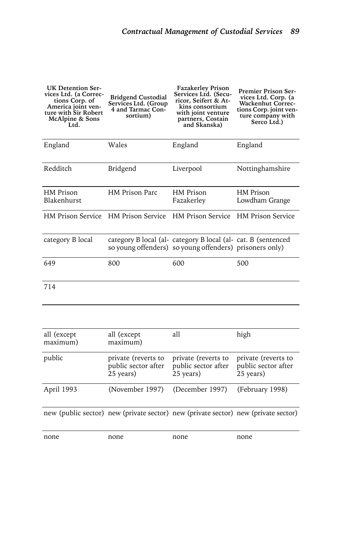| <b>UK Detention Ser-</b><br>vices Ltd. (a Correc-<br>tions Corp. of<br>America joint ven-<br>ture with Sir Robert<br>McAlpine & Sons<br>Ltd. | <b>Bridgend Custodial</b><br>Services Ltd. (Group<br>4 and Tarmac Con-<br>sortium) | Fazakerley Prison<br>Services Ltd. (Secu-<br>ricor, Seifert & At-<br>kins consortium<br>with joint venture<br>partners, Costain<br>and Skanska) | <b>Premier Prison Ser-</b><br>vices Ltd. Corp. (a<br>Wackenhut Correc-<br>tions Corp. joint ven-<br>ture company with<br>Serco Ltd.) |
|----------------------------------------------------------------------------------------------------------------------------------------------|------------------------------------------------------------------------------------|-------------------------------------------------------------------------------------------------------------------------------------------------|--------------------------------------------------------------------------------------------------------------------------------------|
| England                                                                                                                                      | Wales                                                                              | England                                                                                                                                         | England                                                                                                                              |
| Redditch                                                                                                                                     | Bridgend                                                                           | Liverpool                                                                                                                                       | Nottinghamshire                                                                                                                      |
| HM Prison<br>Blakenhurst                                                                                                                     | <b>HM Prison Parc</b>                                                              | HM Prison<br>Fazakerley                                                                                                                         | HM Prison<br>Lowdham Grange                                                                                                          |
|                                                                                                                                              | HM Prison Service HM Prison Service                                                | HM Prison Service                                                                                                                               | <b>HM Prison Service</b>                                                                                                             |
| category B local                                                                                                                             |                                                                                    | category B local (al- category B local (al- cat. B (sentenced<br>so young offenders) so young offenders) prisoners only)                        |                                                                                                                                      |
| 649                                                                                                                                          | 800                                                                                | 600                                                                                                                                             | 500                                                                                                                                  |
| 714                                                                                                                                          |                                                                                    |                                                                                                                                                 |                                                                                                                                      |

| all (except<br>maximum) | all (except<br>maximum)                                 | all                                                     | high                                                    |
|-------------------------|---------------------------------------------------------|---------------------------------------------------------|---------------------------------------------------------|
| public                  | private (reverts to<br>public sector after<br>25 years) | private (reverts to<br>public sector after<br>25 years) | private (reverts to<br>public sector after<br>25 years) |
| April 1993              | (November 1997)                                         | (December 1997)                                         | (February 1998)                                         |

new (public sector) new (private sector) new (private sector) new (private sector)

none none none none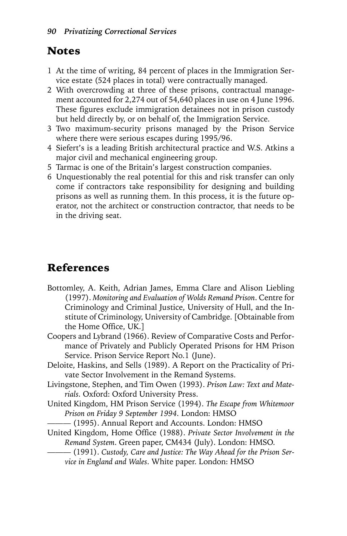# Notes

- 1 At the time of writing, 84 percent of places in the Immigration Service estate (524 places in total) were contractually managed.
- 2 With overcrowding at three of these prisons, contractual management accounted for 2,274 out of 54,640 places in use on 4 June 1996. These figures exclude immigration detainees not in prison custody but held directly by, or on behalf of, the Immigration Service.
- 3 Two maximum-security prisons managed by the Prison Service where there were serious escapes during 1995/96.
- 4 Siefert's is a leading British architectural practice and W.S. Atkins a major civil and mechanical engineering group.
- 5 Tarmac is one of the Britain's largest construction companies.
- 6 Unquestionably the real potential for this and risk transfer can only come if contractors take responsibility for designing and building prisons as well as running them. In this process, it is the future operator, not the architect or construction contractor, that needs to be in the driving seat.

# References

- Bottomley, A. Keith, Adrian James, Emma Clare and Alison Liebling (1997). *Monitoring and Evaluation of Wolds Remand Prison*. Centre for Criminology and Criminal Justice, University of Hull, and the Institute of Criminology, University of Cambridge. [Obtainable from the Home Office, UK.]
- Coopers and Lybrand (1966). Review of Comparative Costs and Performance of Privately and Publicly Operated Prisons for HM Prison Service. Prison Service Report No.1 (June).
- Deloite, Haskins, and Sells (1989). A Report on the Practicality of Private Sector Involvement in the Remand Systems.
- Livingstone, Stephen, and Tim Owen (1993). *Prison Law: Text and Materials*. Oxford: Oxford University Press.
- United Kingdom, HM Prison Service (1994). *The Escape from Whitemoor Prison on Friday 9 September 1994*. London: HMSO
	- $-$  (1995). Annual Report and Accounts. London: HMSO
- United Kingdom, Home Office (1988). *Private Sector Involvement in the Remand System*. Green paper, CM434 (July). London: HMSO.
	- $-$  (1991). Custody, Care and Justice: The Way Ahead for the Prison Ser*vice in England and Wales*. White paper. London: HMSO